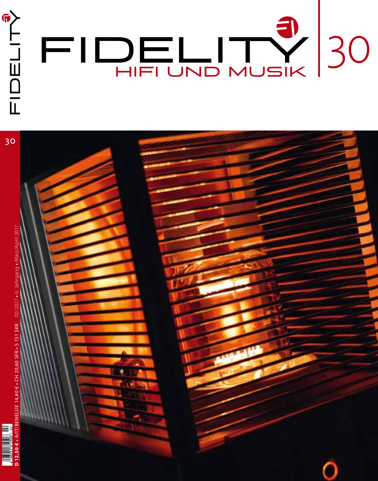

30